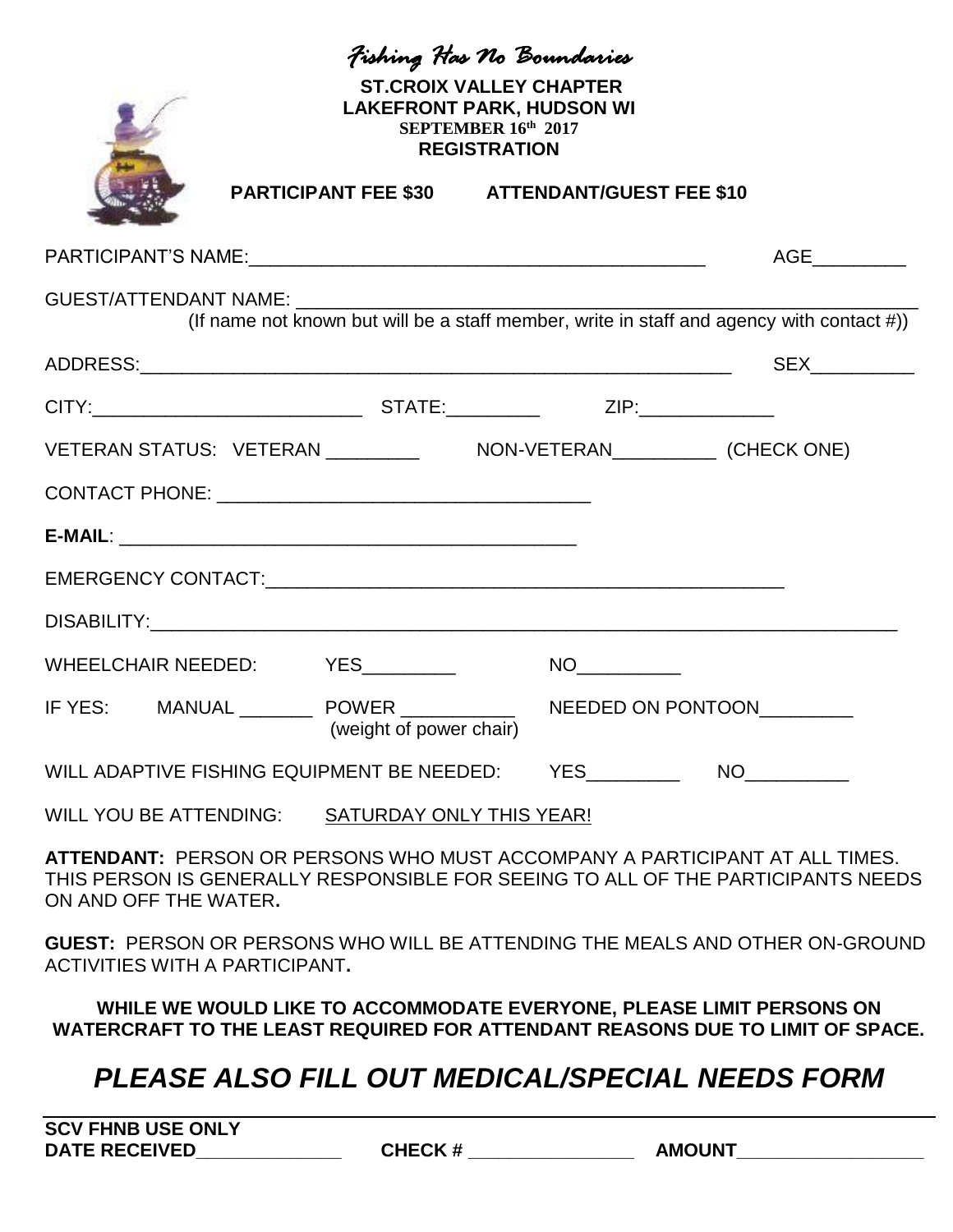| Fishing Has No Boundaries<br><b>ST.CROIX VALLEY CHAPTER</b><br><b>LAKEFRONT PARK, HUDSON WI</b><br>SEPTEMBER 16th 2017<br><b>REGISTRATION</b>                                            |  |                         |  |                                                      |  |     |  |
|------------------------------------------------------------------------------------------------------------------------------------------------------------------------------------------|--|-------------------------|--|------------------------------------------------------|--|-----|--|
|                                                                                                                                                                                          |  |                         |  | <b>PARTICIPANT FEE \$30 ATTENDANT/GUEST FEE \$10</b> |  |     |  |
|                                                                                                                                                                                          |  |                         |  |                                                      |  | AGE |  |
| (If name not known but will be a staff member, write in staff and agency with contact #))                                                                                                |  |                         |  |                                                      |  |     |  |
|                                                                                                                                                                                          |  |                         |  |                                                      |  |     |  |
|                                                                                                                                                                                          |  |                         |  |                                                      |  |     |  |
| VETERAN STATUS: VETERAN __________ NON-VETERAN__________ (CHECK ONE)                                                                                                                     |  |                         |  |                                                      |  |     |  |
|                                                                                                                                                                                          |  |                         |  |                                                      |  |     |  |
|                                                                                                                                                                                          |  |                         |  |                                                      |  |     |  |
|                                                                                                                                                                                          |  |                         |  |                                                      |  |     |  |
|                                                                                                                                                                                          |  |                         |  |                                                      |  |     |  |
| WHEELCHAIR NEEDED: YES________                                                                                                                                                           |  |                         |  |                                                      |  |     |  |
| IF YES: MANUAL __________ POWER ________________ NEEDED ON PONTOON__________                                                                                                             |  | (weight of power chair) |  |                                                      |  |     |  |
| WILL ADAPTIVE FISHING EQUIPMENT BE NEEDED: YES NO                                                                                                                                        |  |                         |  |                                                      |  |     |  |
| WILL YOU BE ATTENDING: SATURDAY ONLY THIS YEAR!                                                                                                                                          |  |                         |  |                                                      |  |     |  |
| ATTENDANT: PERSON OR PERSONS WHO MUST ACCOMPANY A PARTICIPANT AT ALL TIMES.<br>THIS PERSON IS GENERALLY RESPONSIBLE FOR SEEING TO ALL OF THE PARTICIPANTS NEEDS<br>ON AND OFF THE WATER. |  |                         |  |                                                      |  |     |  |
| GUEST: PERSON OR PERSONS WHO WILL BE ATTENDING THE MEALS AND OTHER ON-GROUND<br><b>ACTIVITIES WITH A PARTICIPANT.</b>                                                                    |  |                         |  |                                                      |  |     |  |
| WHILE WE WOULD LIKE TO ACCOMMODATE EVERYONE, PLEASE LIMIT PERSONS ON<br>WATERCRAFT TO THE LEAST REQUIRED FOR ATTENDANT REASONS DUE TO LIMIT OF SPACE.                                    |  |                         |  |                                                      |  |     |  |

## *PLEASE ALSO FILL OUT MEDICAL/SPECIAL NEEDS FORM*

| <b>SCV FHNB USE ONLY</b> |               |               |
|--------------------------|---------------|---------------|
| <b>DATE RECEIVED</b>     | <b>CHECK#</b> | <b>AMOUNT</b> |